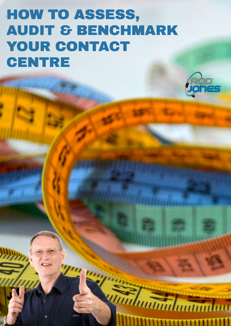# ` HOW TO ASSESS, AUDIT & BENCHMARK YOUR CONTACT **CENTRE**

By Rod Jones



*<u>Intimalmandun</u>* 

**HHHHHHH**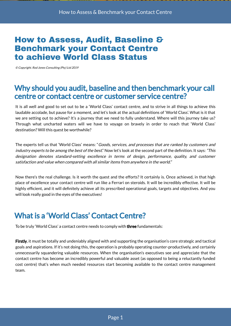### How to Assess, Audit, Baseline & Benchmark your Contact Centre to achieve World Class Status

© Copyright. Rod Jones Consulting (Pty) Ltd 2019

### Why should you audit, baseline and then benchmark your call centre or contact centre or customer service centre?

It is all well and good to set out to be a 'World Class' contact centre, and to strive in all things to achieve this laudable accolade, but pause for a moment, and let's look at the actual definitions of 'World Class'. What is it that we are setting out to achieve? It's a journey that we need to fully understand. Where will this journey take us? Through what uncharted waters will we have to voyage on bravely in order to reach that 'World Class' destination? Will this quest be worthwhile?

The experts tell us that 'World Class' means: "Goods, services, and processes that are ranked by customers and industry experts to be among the best of the best." Now let's look at the second part of the definition. It says: "This designation denotes standard-setting excellence in terms of design, performance, quality, and customer satisfaction and value when compared with all similar items from anywhere in the world."

Now there's the real challenge. Is it worth the quest and the efforts? It certainly is. Once achieved, in that high place of excellence your contact centre will run like a Ferrari on steroids. It will be incredibly effective. It will be highly efficient, and it will definitely achieve all its prescribed operational goals, targets and objectives. And you will look really good in the eyes of the executives!

# What is a 'World Class' Contact Centre?

To be truly 'World Class' a contact centre needs to comply with three fundamentals:

Firstly, it must be totally and undeniably aligned with and supporting the organisation's core strategic and tactical goals and aspirations. If it's not doing this, the operation is probably operating counter-productively, and certainly unnecessarily squandering valuable resources. When the organisation's executives see and appreciate that the contact centre has become an incredibly powerful and valuable asset (as opposed to being a reluctantly funded cost centre) that's when much needed resources start becoming available to the contact centre management team.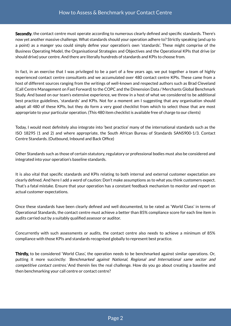Secondly, the contact centre must operate according to numerous clearly defined and specific standards. There's now yet another massive challenge. What standards should your operation adhere to? Strictly speaking (and up to a point) as a manger you could simply define your operation's own 'standards'. These might comprise of the Business Operating Model, the Organisational Strategies and Objectives and the Operational KPIs that drive (or should drive) your centre. And there are literally hundreds of standards and KPIs to choose from.

In fact, in an exercise that I was privileged to be a part of a few years ago, we put together a team of highly experienced contact centre consultants and we accumulated over 480 contact centre KPIs. These came from a host of different sources ranging from the writings of well-known and respected authors such as Brad Cleveland (Call Centre Management on Fast Forward) to the COPC and the Dimension Data / Merchants Global Benchmark Study. And based on our team's extensive experience, we threw in a host of what we considered to be additional best practice guidelines, 'standards' and KPIs. Not for a moment am I suggesting that any organisation should adopt all 480 of these KPIs, but they do form a very good checklist from which to select those that are most appropriate to your particular operation. (This 480 item checklist is available free of charge to our clients)

Today, I would most definitely also integrate into 'best practice' many of the international standards such as the ISO 18295 (1 and 2) and where appropriate, the South African Bureau of Standards SANS900-1/3. Contact Centre Standards. (Outbound, Inbound and Back Office)

Other Standards such as those of certain statutory, regulatory or professional bodies must also be considered and integrated into your operation's baseline standards.

It is also vital that specific standards and KPIs relating to both internal and external customer expectation are clearly defined. And here I add a word of caution: Don't make assumptions as to what you think customers expect. That's a fatal mistake. Ensure that your operation has a constant feedback mechanism to monitor and report on actual customer expectations.

Once these standards have been clearly defined and well documented, to be rated as 'World Class' in terms of Operational Standards, the contact centre must achieve a better than 85% compliance score for each line item in audits carried out by a suitably qualified assessor or auditor.

Concurrently with such assessments or audits, the contact centre also needs to achieve a minimum of 85% compliance with those KPIs and standards recognised globally to represent best practice.

Thirdly, to be considered 'World Class', the operation needs to be benchmarked against similar operations. Or, putting it more succinctly: 'Benchmarked against National, Regional and International same sector and competitive contact centres.' And therein lies the real challenge. How do you go about creating a baseline and then benchmarking your call centre or contact centre?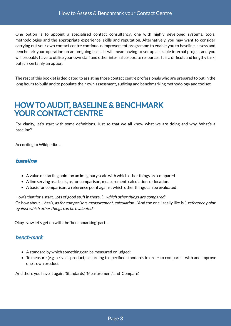One option is to appoint a specialised contact consultancy; one with highly developed systems, tools, methodologies and the appropriate experience, skills and reputation. Alternatively, you may want to consider carrying out your own contact centre continuous improvement programme to enable you to baseline, assess and benchmark your operation on an on-going basis. It will mean having to set up a sizable internal project and you will probably have to utilise your own staff and other internal corporate resources. It is a difficult and lengthy task, but it is certainly an option.

The rest of this booklet is dedicated to assisting those contact centre professionals who are prepared to put in the long hours to build and to populate their own assessment, auditing and benchmarking methodology and toolset.

### HOW TO AUDIT, BASELINE & BENCHMARK YOUR CONTACT CENTRE

For clarity, let's start with some definitions. Just so that we all know what we are doing and why. What's a baseline?

According to Wikipedia ….

### baseline

- A value or starting point on an imaginary scale with which other things are compared
- A line serving as a basis, as for comparison, measurement, calculation, or location.
- A basis for comparison; a reference point against which other things can be evaluated

How's that for a start. Lots of good stuff in there. '... which other things are compared.' Or how about *'.. basis, as for comparison, measurement, calculation ..'* And the one I really like is *'.. reference point* against which other things can be evaluated.'

Okay. Now let's get on with the 'benchmarking' part…

### bench·mark

- A standard by which something can be measured or judged:
- To measure (e.g. a rival's product) according to specified standards in order to compare it with and improve one's own product

And there you have it again. 'Standards', 'Measurement' and 'Compare'.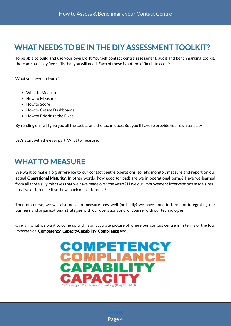# WHAT NEEDS TO BE IN THE DIY ASSESSMENT TOOLKIT?

To be able to build and use your own Do-It-Yourself contact centre assessment, audit and benchmarking toolkit, there are basically five skills that you will need. Each of these is not too difficult to acquire.

What you need to learn is …

- What to Measure
- How to Measure
- How to Score
- How to Create Dashboards
- How to Prioritize the Fixes

By reading on I will give you all the tactics and the techniques. But you'll have to provide your own tenacity!

Let's start with the easy part. What to measure.

### WHAT TO MEASURE

We want to make a big difference to our contact centre operations, so let's monitor, measure and report on our actual Operational Maturity. In other words, how good (or bad) are we in operational terms? Have we learned from all those silly mistakes that we have made over the years? Have our improvement interventions made a real, positive difference? If so, how much of a difference?

Then of course, we will also need to measure how well (or badly) we have done in terms of integrating our business and organisational strategies with our operations and, of course, with our technologies.

Overall, what we want to come up with is an accurate picture of where our contact centre is in terms of the four imperatives; Competency, CapacityCapability, Compliance and .

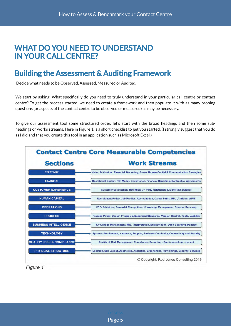### WHAT DO YOU NEED TO UNDERSTAND IN YOUR CALL CENTRE?

# Building the Assessment & Auditing Framework

Decide what needs to be Observed, Assessed, Measured or Audited.

We start by asking: What specifically do you need to truly understand in your particular call centre or contact centre? To get the process started, we need to create a framework and then populate it with as many probing questions (or aspects of the contact centre to be observed or measured) as may be necessary.

To give our assessment tool some structured order, let's start with the broad headings and then some subheadings or works streams. Here in Figure 1 is a short checklist to get you started. (I strongly suggest that you do as I did and that you create this tool in an application such as Microsoft Excel.)



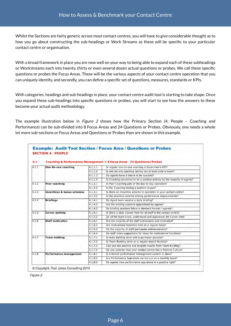Whilst the Sections are fairly generic across most contact centres, you will have to give considerable thought as to how you go about constructing the sub-headings or Work Streams as these will be specific to your particular contact centre or organisation.

With a broad framework in place you are now well on your way to being able to expand each of these subheadings or Workstreams each into twenty, thirty or even several dozen actual questions or probes. We call these specific questions or probes the Focus Areas. These will be the various aspects of your contact centre operation that you can uniquely identify, and secondly, you can define a specific set of questions, measures, standards or KPIs.

With categories, headings and sub-headings in place, your contact centre audit tool is starting to take shape. Once you expand these sub-headings into specific questions or probes, you will start to see how the answers to these become your actual audit methodology.

The example illustration below in *Figure 2* shows how the Primary Section (4: People - Coaching and Performance) can be sub-divided into 8 Focus Areas and 24 Questions or Probes. Obviously, one needs a whole lot more sub-sections or Focus Areas and Questions or Probes than are shown in this example.

| 4.1   |                                       |         | Coaching & Performance Management = $8$ focus areas 24 Questions/Probes    |
|-------|---------------------------------------|---------|----------------------------------------------------------------------------|
| 4.1.1 | One-On-one coaching                   | 4.1.1.1 | Is regular one-on-one coaching a Supervisor's KPI?                         |
|       |                                       | 4.1.1.2 | Is one-on-one coaching carries out at least once a week?                   |
|       |                                       | 4.1.1.3 | Do agents have a desire to be coached?                                     |
|       |                                       | 4.1.1.4 | Is Coaching perceived to be a positive activity by the majority of agents? |
| 4.1.2 | Peer coaching                         | 4.1.2.1 | Is Peer Coaching part of the day-to-day operation?                         |
|       |                                       | 4.1.2.2 | Is Per Coaching having a positive impact?                                  |
| 4.1.3 | <b>Incentives &amp; bonus schemes</b> | 4.1.3.1 | Is there an Incentive scheme in operation in your contact centre?          |
|       |                                       | 4.1.3.2 | Is the incentive scheme driving performance improvements?                  |
| 4.1.4 | <b>Briefings</b>                      | 4.1.4.1 | Do Agent team receive a daily briefing?                                    |
|       |                                       | 4.1.4.2 | Are the briefing sessions appreciated by agents?                           |
|       |                                       | 4.1.4.3 | Do briefing sessions follow a standard format / agenda?                    |
| 4.1.5 | <b>Career pathing</b>                 | 4.1.5.1 | Is there a clear Career Path for all staff in the contact centre?          |
|       |                                       | 4.1.5.2 | Do all the team know, understand and appreciate the Career Path            |
| 4.1.6 | <b>Staff motivation</b>               | 4.1.6.1 | Are the majority of the staff enthusiastic and motivated?                  |
|       |                                       | 4.1.6.2 | Are motivational functions held on a regular basis?                        |
|       |                                       | 4.1.6.3 | Do the majority of staff participate enthusiastically?                     |
|       |                                       | 4.1.6.4 | Do staff make suggestions for ideas for motivational functions?            |
| 4.1.7 | <b>Team building</b>                  | 4.1.7.1 | Is team building done with a particular purpose?                           |
|       |                                       | 4.1.7.2 | Is Team Building done on a regular basis? Monthly?                         |
|       |                                       | 4.1.7.3 | Can you see positive and tangible results from Team Building?              |
|       |                                       | 4.1.7.4 | Do you consider that your contact centre has a Positive Culture?           |
| 4.1.8 | Performance management                | 4.1.8.1 | Is a formal performance management system in place?                        |
|       |                                       | 4.1.8.2 | Are Performance Appraisals carried out on a monthly basis?                 |
|       |                                       | 4.1.8.3 | Do agents view performance appraisals in a positive light?                 |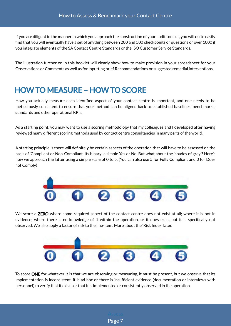If you are diligent in the manner in which you approach the construction of your audit toolset, you will quite easily find that you will eventually have a set of anything between 200 and 500 checkpoints or questions or over 1000 if you integrate elements of the SA Contact Centre Standards or the ISO Customer Service Standards.

The illustration further on in this booklet will clearly show how to make provision in your spreadsheet for your Observations or Comments as well as for inputting brief Recommendations or suggested remedial interventions.

# HOW TO MEASURE – HOW TO SCORE

How you actually measure each identified aspect of your contact centre is important, and one needs to be meticulously consistent to ensure that your method can be aligned back to established baselines, benchmarks, standards and other operational KPIs.

As a starting point, you may want to use a scoring methodology that my colleagues and I developed after having reviewed many different scoring methods used by contact centre consultancies in many parts of the world.

A starting principle is there will definitely be certain aspects of the operation that will have to be assessed on the basis of 'Compliant or Non-Compliant. Its binary; a simple Yes or No. But what about the 'shades of grey'? Here's how we approach the latter using a simple scale of 0 to 5. (You can also use 5 for Fully Compliant and 0 for Does not Comply)



We score a **ZERO** where some required aspect of the contact centre does not exist at all; where it is not in evidence; where there is no knowledge of it within the operation, or it does exist, but it is specifically not observed. We also apply a factor of risk to the line-item. More about the 'Risk Index' later.



To score ONE for whatever it is that we are observing or measuring, it must be present, but we observe that its implementation is inconsistent, it is ad hoc or there is insufficient evidence (documentation or interviews with personnel) to verify that it exists or that it is implemented or consistently observed in the operation.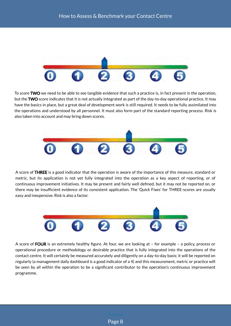

To score TWO we need to be able to see tangible evidence that such a practice is, in fact present in the operation, but the TWO score indicates that it is not actually integrated as part of the day-to-day operational practice. It may have the basics in place, but a great deal of development work is still required. It needs to be fully assimilated into the operations and understood by all personnel. It must also form part of the standard reporting process. Risk is also taken into account and may bring down scores.



A score of THREE is a good indicator that the operation is aware of the importance of this measure, standard or metric, but its application is not yet fully integrated into the operation as a key aspect of reporting, or of continuous improvement initiatives. It may be present and fairly well defined, but it may not be reported on, or there may be insufficient evidence of its consistent application. The 'Quick Fixes' for THREE-scores are usually easy and inexpensive. Risk is also a factor.



A score of FOUR is an extremely healthy figure. At four, we are looking at  $-$  for example  $-$  a policy, process or operational procedure or methodology or desirable practice that is fully integrated into the operations of the contact centre. It will certainly be measured accurately and diligently on a day-to-day basis; it will be reported on regularly (a management daily dashboard is a good indicator of a 4) and this measurement, metric or practice will be seen by all within the operation to be a significant contributor to the operation's continuous improvement programme.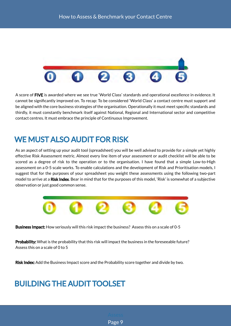

A score of FIVE is awarded where we see true 'World Class' standards and operational excellence in evidence. It cannot be significantly improved on. To recap: To be considered 'World Class' a contact centre must support and be aligned with the core business strategies of the organisation. Operationally it must meet specific standards and thirdly, it must constantly benchmark itself against National, Regional and International sector and competitive contact centres. It must embrace the principle of Continuous Improvement.

# WE MUST ALSO AUDIT FOR RISK

As an aspect of setting up your audit tool (spreadsheet) you will be well advised to provide for a simple yet highly effective Risk Assessment metric. Almost every line item of your assessment or audit checklist will be able to be scored as a degree of risk to the operation or to the organisation. I have found that a simple Low-to-High assessment on a 0-5 scale works. To enable calculations and the development of Risk and Prioritisation models, I suggest that for the purposes of your spreadsheet you weight these assessments using the following two-part model to arrive at a Risk Index. Bear in mind that for the purposes of this model, 'Risk' is somewhat of a subjective observation or just good common sense.



Business Impact: How seriously will this risk impact the business? Assess this on a scale of 0-5

Probability: What is the probability that this risk will impact the business in the foreseeable future? Assess this on a scale of 0 to 5

Risk Index: Add the Business Impact score and the Probability score together and divide by two.

# BUILDING THE AUDIT TOOLSET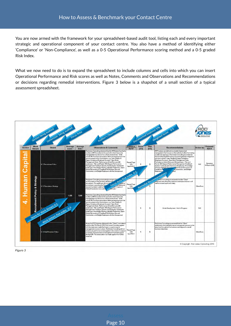You are now armed with the framework for your spreadsheet-based audit tool, listing each and every important strategic and operational component of your contact centre. You also have a method of identifying either 'Compliance' or 'Non-Compliance', as well as a 0-5 Operational Performance scoring method and a 0-5 graded Risk Index.

What we now need to do is to expand the spreadsheet to include columns and cells into which you can insert Operational Performance and Risk scores as well as Notes, Comments and Observations and Recommendations or decisions regarding remedial interventions. Figure 3 below is a shapshot of a small section of a typical assessment spreadsheet.

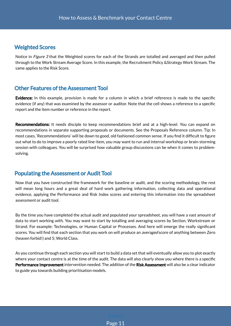### Weighted Scores

Notice in Figure 3 that the Weighted scores for each of the Strands are totalled and averaged and then pulled through to the Work Stream Average Score. In this example, the Recruitment Policy &Strategy Work Stream. The same applies to the Risk Score.

### Other Features of the Assessment Tool

Evidence: In this example, provision is made for a column in which a brief reference is made to the specific evidence (if any) that was examined by the assessor or auditor. Note that the cell shows a reference to a specific report and the item number or reference in the report.

Recommendations: It needs disciple to keep recommendations brief and at a high-level. You can expand on recommendations in separate supporting proposals or documents. See the Proposals Reference column. Tip: In most cases, 'Recommendations' will be down to good, old fashioned common sense. If you find it difficult to figure out what to do to improve a poorly rated line-item, you may want to run and internal workshop or brain-storming session with colleagues. You will be surprised how valuable group discussions can be when it comes to problemsolving.

### Populating the Assessment or Audit Tool

Now that you have constructed the framework for the baseline or audit, and the scoring methodology, the rest will mean long hours and a great deal of hard work gathering information, collecting data and operational evidence, applying the Performance and Risk Index scores and entering this information into the spreadsheet assessment or audit tool.

By the time you have completed the actual audit and populated your spreadsheet, you will have a vast amount of data to start working with. You may want to start by totalling and averaging scores by Section, Workstream or Strand. For example: Technologies, or Human Capital or Processes. And here will emerge the really significant scores. You will find that each section that you work on will produce an *averaged* score of anything between Zero (heaven forbid!) and 5; World Class.

As you continue through each section you will start to build a data set that will eventually allow you to plot exactly where your contact centre is at the time of the audit. The data will also clearly show you where there is a specific **Performance Improvement** intervention needed. The addition of the **Risk Assessment** will also be a clear indicator to guide you towards building prioritisation models.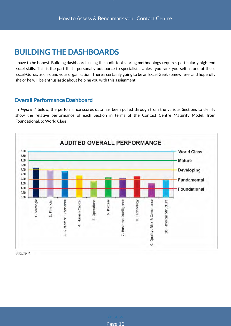. .

### BUILDING THE DASHBOARDS

I have to be honest. Building dashboards using the audit tool scoring methodology requires particularly high-end Excel skills. This is the part that I personally outsource to specialists. Unless you rank yourself as one of these Excel-Gurus, ask around your organisation. There's certainly going to be an Excel Geek somewhere, and hopefully she or he will be enthusiastic about helping you with this assignment.

### Overall Performance Dashboard

In Figure 4, below, the performance scores data has been pulled through from the various Sections to clearly show the relative performance of each Section in terms of the Contact Centre Maturity Model; from Foundational, to World Class.

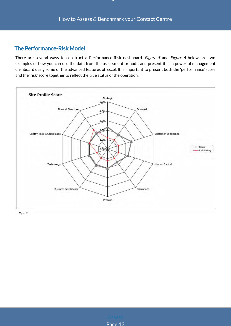age

### The Performance-Risk Model

There are several ways to construct a Performance-Risk dashboard. Figure 5 and Figure 6 below are two examples of how you can use the data from the assessment or audit and present it as a powerful management dashboard using some of the advanced features of Excel. It is important to present both the 'performance' score and the 'risk' score together to reflect the true status of the operation.

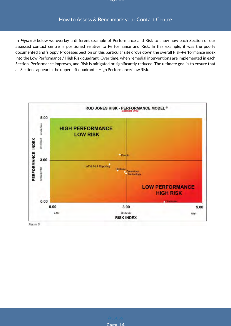In Figure 6 below we overlay a different example of Performance and Risk to show how each Section of our assessed contact centre is positioned relative to Performance and Risk. In this example, it was the poorly documented and 'sloppy' Processes Section on this particular site drove down the overall Risk-Performance index into the Low Performance / High Risk quadrant. Over time, when remedial interventions are implemented in each Section, Performance improves, and Risk is mitigated or significantly reduced. The ultimate goal is to ensure that all Sections appear in the upper left quadrant – High Performance/Low Risk.



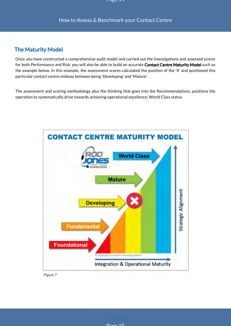### The Maturity Model

Once you have constructed a comprehensive audit model and carried out the investigations and assessed scores for both Performance and Risk, you will also be able to build an accurate Contact Centre Maturity Model such as the example below. In this example, the assessment scores calculated the position of the 'X' and positioned this particular contact centre midway between being 'Developing' and 'Mature'.

The assessment and scoring methodology plus the thinking that goes into the Recommendations, positions the operation to systematically drive towards achieving operational excellence; World Class status.





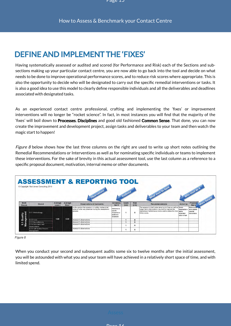# DEFINE AND IMPLEMENT THE 'FIXES'

Having systematically assessed or audited and scored (for Performance and Risk) each of the Sections and subsections making up your particular contact centre, you are now able to go back into the tool and decide on what needs to be done to improve operational performance scores, and to reduce risk scores where appropriate. This is also the opportunity to decide who will be designated to carry out the specific remedial interventions or tasks. It is also a good idea to use this model to clearly define responsible individuals and all the deliverables and deadlines associated with designated tasks.

As an experienced contact centre professional, crafting and implementing the 'fixes' or improvement interventions will no longer be "rocket science". In fact, in most instances you will find that the majority of the 'fixes' will boil down to Processes, Disciplines and good old fashioned Common Sense. That done, you can now create the improvement and development project, assign tasks and deliverables to your team and then watch the magic start to happen!

Figure 8 below shows how the last three columns on the right are used to write up short notes outlining the Remedial Recommendations or Interventions as well as for nominating specific individuals or teams to implement these interventions. For the sake of brevity in this actual assessment tool, use the last column as a reference to a specific proposal document, motivation, internal memo or other documents.



Figure 8

When you conduct your second and subsequent audits some six to twelve months after the initial assessment, you will be astounded with what you and your team will have achieved in a relatively short space of time, and with limited spend.

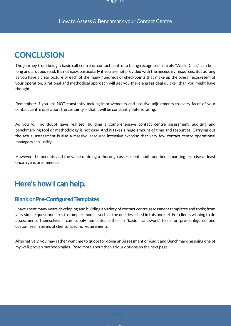# **CONCLUSION**

The journey from being a basic call centre or contact centre to being recognised as truly 'World Class', can be a long and arduous road. It's not easy, particularly if you are not provided with the necessary resources. But as long as you have a clear picture of each of the many hundreds of checkpoints that make up the overall ecosystem of your operation, a rational and methodical approach will get you there a great deal quicker than you might have thought.

Remember: If you are NOT constantly making improvements and positive adjustments to every facet of your contact centre operation, the certainty is that it will be constantly deteriorating.

As you will no doubt have realised, building a comprehensive contact centre assessment, auditing and benchmarking tool or methodology is not easy. And it takes a huge amount of time and resources. Carrying out the actual assessment is also a massive, resource-intensive exercise that very few contact centre operational managers can justify.

However, the benefits and the value of doing a thorough assessment, audit and benchmarking exercise at least once a year, are immense.

# Here's how I can help.

### **Blank or Pre-Configured Templates**

I have spent many years developing and building a variety of contact centre assessment templates and tools; from very simple questionnaires to complex models such as the one described in this booklet. For clients wishing to do assessments themselves I can supply templates either in 'basic framework' form, or pre-configured and customised in terms of clients' specific requirements.

Alternatively, you may rather want me to quote for doing an Assessment or Audit and Benchmarking using one of my well-proven methodologies. Read more about the various options on the next page.

 $P = 17$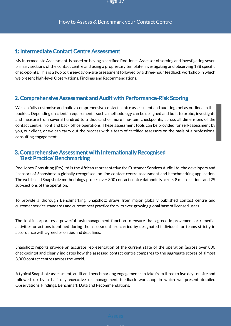### 1: Intermediate Contact Centre Assessment

My Intermediate Assessment is based on having a certified Rod Jones Assessor observing and investigating seven primary sections of the contact centre and using a proprietary template, investigating and observing 188 specific check-points. This is a two to three-day on-site assessment followed by a three-hour feedback workshop in which we present high-level Observations, Findings and Recommendations.

### 2. Comprehensive Assessment and Audit with Performance-Risk Scoring

We can fully customise and build a comprehensive contact centre assessment and auditing tool as outlined in this booklet. Depending on client's requirements, such a methodology can be designed and built to probe, investigate and measure from several hundred to a thousand or more line-item checkpoints, across all dimensions of the contact centre, front and back office operations. These assessment tools can be provided for self-assessment by you, our client, or we can carry out the process with a team of certified assessors on the basis of a professional consulting engagement.

#### 3. Comprehensive Assessment with Internationally Recognised 'Best Practice' Benchmarking

Rod Jones Consulting (Pty)Ltd is the African representative for Customer Services Audit Ltd, the developers and licensors of Snapshotz, a globally recognised, on-line contact centre assessment and benchmarking application. The web based Snapshotz methodology probes over 800 contact centre datapoints across 8 main sections and 29 sub-sections of the operation.

To provide a thorough Benchmarking, Snapshotz draws from major globally published contact centre and customer service standards and current best practice from its ever-growing global base of licensed users.

The tool incorporates a powerful task management function to ensure that agreed improvement or remedial activities or actions identified during the assessment are carried by designated individuals or teams strictly in accordance with agreed priorities and deadlines.

Snapshotz reports provide an accurate representation of the current state of the operation (across over 800 checkpoints) and clearly indicates how the assessed contact centre compares to the aggregate scores of almost 3,000 contact centres across the world.

A typical Snapshotz assessment, audit and benchmarking engagement can take from three to five days on site and followed up by a half day executive or management feedback workshop in which we present detailed Observations, Findings, Benchmark Data and Recommendations.

**P 18 18 18 18**